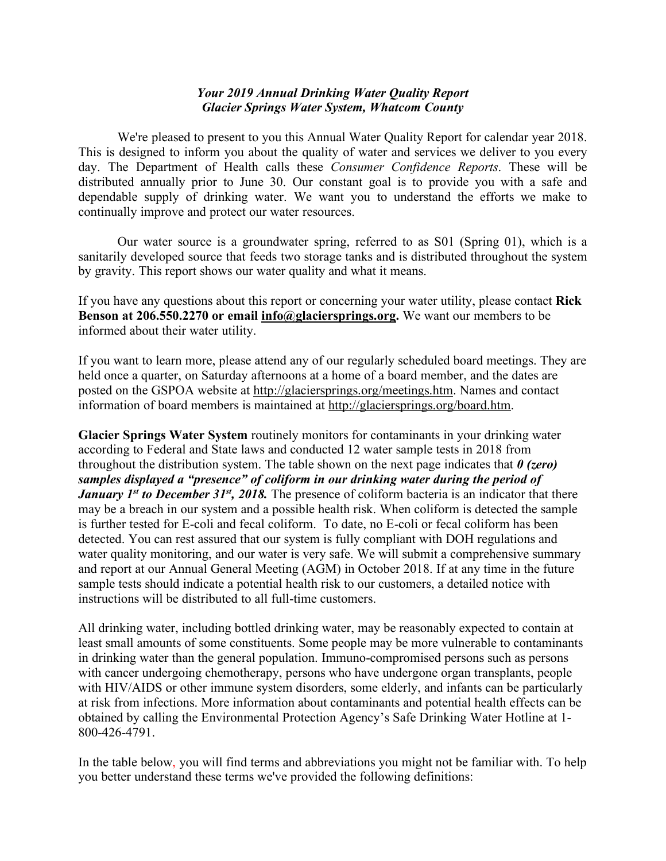## *Your 2019 Annual Drinking Water Quality Report Glacier Springs Water System, Whatcom County*

We're pleased to present to you this Annual Water Quality Report for calendar year 2018. This is designed to inform you about the quality of water and services we deliver to you every day. The Department of Health calls these *Consumer Confidence Reports*. These will be distributed annually prior to June 30. Our constant goal is to provide you with a safe and dependable supply of drinking water. We want you to understand the efforts we make to continually improve and protect our water resources.

Our water source is a groundwater spring, referred to as S01 (Spring 01), which is a sanitarily developed source that feeds two storage tanks and is distributed throughout the system by gravity. This report shows our water quality and what it means.

If you have any questions about this report or concerning your water utility, please contact **Rick Benson at 206.550.2270 or email info@glaciersprings.org.** We want our members to be informed about their water utility.

If you want to learn more, please attend any of our regularly scheduled board meetings. They are held once a quarter, on Saturday afternoons at a home of a board member, and the dates are posted on the GSPOA website at http://glaciersprings.org/meetings.htm. Names and contact information of board members is maintained at http://glaciersprings.org/board.htm.

**Glacier Springs Water System** routinely monitors for contaminants in your drinking water according to Federal and State laws and conducted 12 water sample tests in 2018 from throughout the distribution system. The table shown on the next page indicates that *0 (zero) samples displayed a "presence" of coliform in our drinking water during the period of January 1<sup>st</sup> to December 31<sup>st</sup>, 2018*. The presence of coliform bacteria is an indicator that there may be a breach in our system and a possible health risk. When coliform is detected the sample is further tested for E-coli and fecal coliform. To date, no E-coli or fecal coliform has been detected. You can rest assured that our system is fully compliant with DOH regulations and water quality monitoring, and our water is very safe. We will submit a comprehensive summary and report at our Annual General Meeting (AGM) in October 2018. If at any time in the future sample tests should indicate a potential health risk to our customers, a detailed notice with instructions will be distributed to all full-time customers.

All drinking water, including bottled drinking water, may be reasonably expected to contain at least small amounts of some constituents. Some people may be more vulnerable to contaminants in drinking water than the general population. Immuno-compromised persons such as persons with cancer undergoing chemotherapy, persons who have undergone organ transplants, people with HIV/AIDS or other immune system disorders, some elderly, and infants can be particularly at risk from infections. More information about contaminants and potential health effects can be obtained by calling the Environmental Protection Agency's Safe Drinking Water Hotline at 1- 800-426-4791.

In the table below, you will find terms and abbreviations you might not be familiar with. To help you better understand these terms we've provided the following definitions: